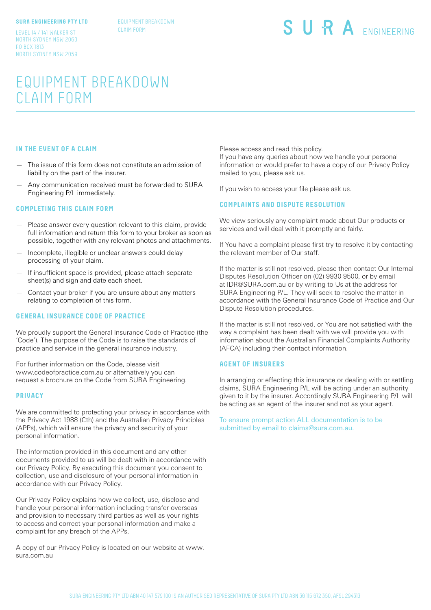#### **SURA ENGINEERING PTY LTD**

EQUIPMENT BREAKDOWN CLAIM FORM

LEVEL 14 / 141 WALKER ST NORTH SYDNEY NSW 2060 PO BOX 1813 NORTH SYDNEY NSW 2059 SURA ENGINEERING

# EQUIPMENT BREAKDOWN CLAIM FORM

### **IN THE EVENT OF A CLAIM**

- The issue of this form does not constitute an admission of liability on the part of the insurer.
- Any communication received must be forwarded to SURA Engineering P/L immediately.

#### **COMPLETING THIS CLAIM FORM**

- Please answer every question relevant to this claim, provide full information and return this form to your broker as soon as possible, together with any relevant photos and attachments.
- Incomplete, illegible or unclear answers could delay processing of your claim.
- If insufficient space is provided, please attach separate sheet(s) and sign and date each sheet.
- Contact your broker if you are unsure about any matters relating to completion of this form.

## **GENERAL INSURANCE CODE OF PRACTICE**

We proudly support the General Insurance Code of Practice (the 'Code'). The purpose of the Code is to raise the standards of practice and service in the general insurance industry.

For further information on the Code, please visit www.codeofpractice.com.au or alternatively you can request a brochure on the Code from SURA Engineering.

#### **PRIVACY**

We are committed to protecting your privacy in accordance with the Privacy Act 1988 (Cth) and the Australian Privacy Principles (APPs), which will ensure the privacy and security of your personal information.

The information provided in this document and any other documents provided to us will be dealt with in accordance with our Privacy Policy. By executing this document you consent to collection, use and disclosure of your personal information in accordance with our Privacy Policy.

Our Privacy Policy explains how we collect, use, disclose and handle your personal information including transfer overseas and provision to necessary third parties as well as your rights to access and correct your personal information and make a complaint for any breach of the APPs.

A copy of our Privacy Policy is located on our website at www. sura.com.au

Please access and read this policy.

If you have any queries about how we handle your personal information or would prefer to have a copy of our Privacy Policy mailed to you, please ask us.

If you wish to access your file please ask us.

## **COMPLAINTS AND DISPUTE RESOLUTION**

We view seriously any complaint made about Our products or services and will deal with it promptly and fairly.

If You have a complaint please first try to resolve it by contacting the relevant member of Our staff.

If the matter is still not resolved, please then contact Our Internal Disputes Resolution Officer on (02) 9930 9500, or by email at IDR@SURA.com.au or by writing to Us at the address for SURA Engineering P/L. They will seek to resolve the matter in accordance with the General Insurance Code of Practice and Our Dispute Resolution procedures.

If the matter is still not resolved, or You are not satisfied with the way a complaint has been dealt with we will provide you with information about the Australian Financial Complaints Authority (AFCA) including their contact information.

#### **AGENT OF INSURERS**

In arranging or effecting this insurance or dealing with or settling claims, SURA Engineering P/L will be acting under an authority given to it by the insurer. Accordingly SURA Engineering P/L will be acting as an agent of the insurer and not as your agent.

To ensure prompt action ALL documentation is to be submitted by email to claims@sura.com.au.